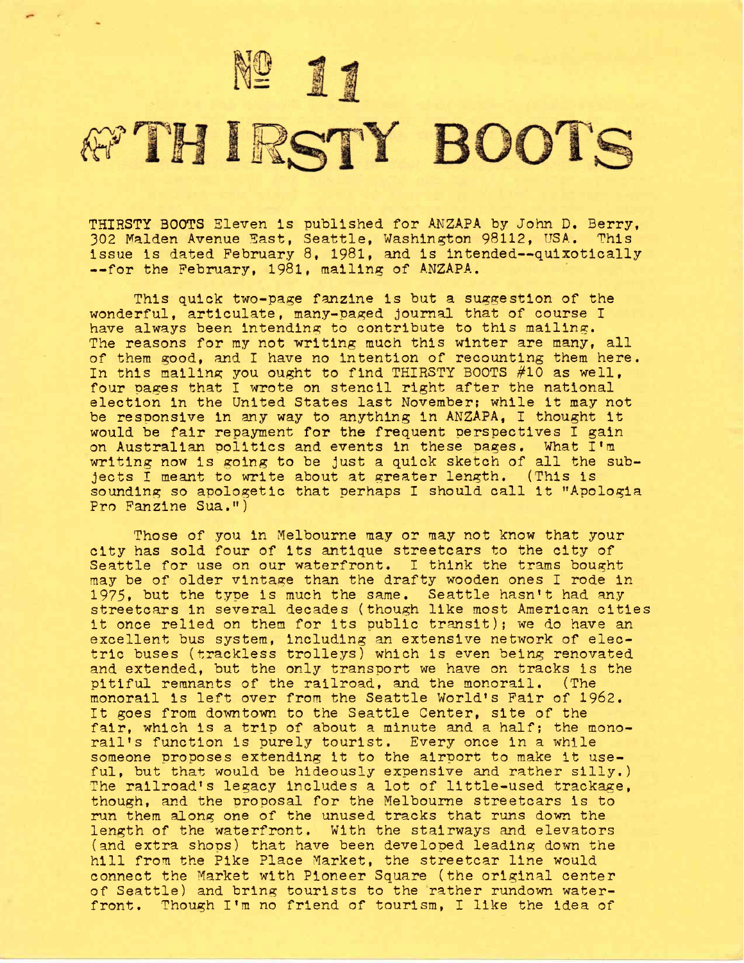## NO 11 ATHIRSTY BOOTS

THIRSTY BOOTS Eleven is published for ANZAPA by John D. Berry,<br>302 Malden Avenue East, Seattle, Washington 98112, USA. This 302 Malden Avenue East, Seattle, Washington 98112, USA. issue is dated February 8, 1981, and is intended—quixotically --for the February, 1981, mailing of ANZAPA.

This quick two-page fanzine is but a suggestion of the wonderful, articulate, many-paged journal that of course I have always been intending to contribute to this mailing. The reasons for my not writing much this winter are many, all of them good, and I have no intention of recounting them here. In this mailing you ought to find THIRSTY BOOTS #10 as well, four pages that I wrote on stencil right after the national election in the United States last November; while it may not be responsive in any way to anything in ANZAPA, I thought it would be fair repayment for the frequent perspectives I gain on Australian politics and events in these pages. What I'<sup>m</sup> on Australian politics and events in these pages. What I'm<br>writing now is going to be just a quick sketch of all the subjects I meant to write about at greater length. (This is sounding so apologetic that perhaps <sup>I</sup> should call it "Apologia Pro Fanzine Sua.")

Those of you in Melbourne may or may not know that your city has sold four of its antique streetcars to the city of Seattle for use on our waterfront. I think the trams bought may be of older vintage than the drafty wooden ones I rode in nay be of order vintage than the draftly wooden ones I fode I streetcars in several decades (though like most American cities it once relied on them for its public transit); we do have an excellent bus system, Including an extensive network of electric buses (trackless trolleys) which is even being renovated and extended, but the only transport we have on tracks is the pitiful remnants of the railroad, and the monorail. (The monorail is left over from the Seattle World'<sup>s</sup> Fair of 1962. It goes from downtown to the Seattle Center, site of the fair, which is a trip of about a minute and a half; the monorail'<sup>s</sup> function is purely tourist. Every once in <sup>a</sup> while someone proposes extending it to the airport to make it useful, but that would be hideously expensive and rather silly.) The railroad's legacy includes a lot of little-used trackage. though, and the nroposal for the Melbourne streetcars is to run them along one of the unused tracks that runs down the length of the waterfront. With the stairways and elevators (and extra shops) that have been developed leading down the hill from the Pike Place Market, the streetcar line would connect the Market with Pioneer Square (the original center of Seattle) and bring tourists to the rather rundown waterfront. Though I'<sup>m</sup> no friend of tourism, <sup>I</sup> like the idea of